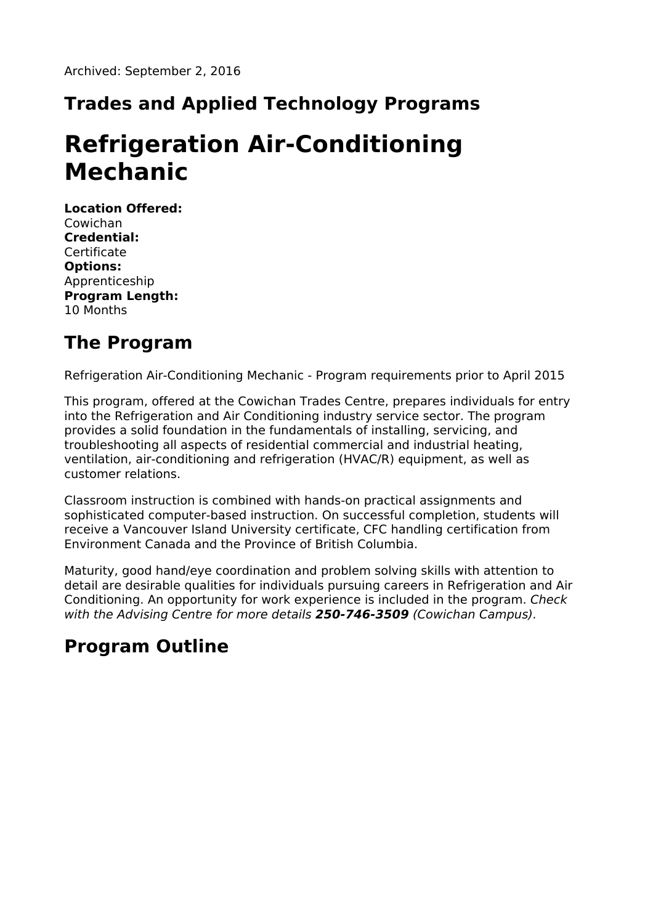## **Trades and Applied Technology Programs**

# **Refrigeration Air-Conditioning Mechanic**

**Location Offered:** Cowichan **Credential: Certificate Options:** Apprenticeship **Program Length:** 10 Months

## **The Program**

Refrigeration Air-Conditioning Mechanic - Program requirements prior to April 2015

This program, offered at the Cowichan Trades Centre, prepares individuals for entry into the Refrigeration and Air Conditioning industry service sector. The program provides a solid foundation in the fundamentals of installing, servicing, and troubleshooting all aspects of residential commercial and industrial heating, ventilation, air-conditioning and refrigeration (HVAC/R) equipment, as well as customer relations.

Classroom instruction is combined with hands-on practical assignments and sophisticated computer-based instruction. On successful completion, students will receive a Vancouver Island University certificate, CFC handling certification from Environment Canada and the Province of British Columbia.

Maturity, good hand/eye coordination and problem solving skills with attention to detail are desirable qualities for individuals pursuing careers in Refrigeration and Air Conditioning. An opportunity for work experience is included in the program. Check with the Advising Centre for more details **250-746-3509** (Cowichan Campus).

## **Program Outline**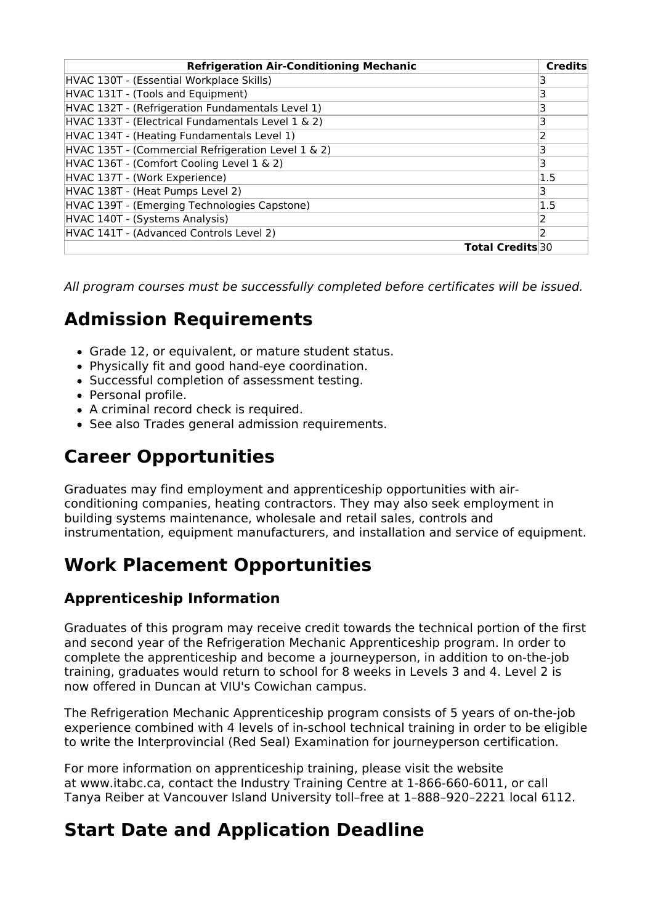| <b>Refrigeration Air-Conditioning Mechanic</b>     | <b>Credits</b>          |
|----------------------------------------------------|-------------------------|
| HVAC 130T - (Essential Workplace Skills)           |                         |
| HVAC 131T - (Tools and Equipment)                  | 3                       |
| HVAC 132T - (Refrigeration Fundamentals Level 1)   |                         |
| HVAC 133T - (Electrical Fundamentals Level 1 & 2)  | 3                       |
| HVAC 134T - (Heating Fundamentals Level 1)         | 2                       |
| HVAC 135T - (Commercial Refrigeration Level 1 & 2) | 3                       |
| HVAC 136T - (Comfort Cooling Level 1 & 2)          | 3                       |
| HVAC 137T - (Work Experience)                      | 1.5                     |
| HVAC 138T - (Heat Pumps Level 2)                   | 3                       |
| HVAC 139T - (Emerging Technologies Capstone)       | 1.5                     |
| HVAC 140T - (Systems Analysis)                     |                         |
| HVAC 141T - (Advanced Controls Level 2)            | 2                       |
|                                                    | <b>Total Credits</b> 30 |

All program courses must be successfully completed before certificates will be issued.

## **Admission Requirements**

- Grade 12, or equivalent, or mature student status.
- Physically fit and good hand-eye coordination.
- Successful completion of assessment testing.
- Personal profile.
- A criminal record check is required.
- See also Trades general admission requirements.

## **Career Opportunities**

Graduates may find employment and apprenticeship opportunities with airconditioning companies, heating contractors. They may also seek employment in building systems maintenance, wholesale and retail sales, controls and instrumentation, equipment manufacturers, and installation and service of equipment.

## **Work Placement Opportunities**

#### **Apprenticeship Information**

Graduates of this program may receive credit towards the technical portion of the first and second year of the Refrigeration Mechanic Apprenticeship program. In order to complete the apprenticeship and become a journeyperson, in addition to on-the-job training, graduates would return to school for 8 weeks in Levels 3 and 4. Level 2 is now offered in Duncan at VIU's Cowichan campus.

The Refrigeration Mechanic Apprenticeship program consists of 5 years of on-the-job experience combined with 4 levels of in-school technical training in order to be eligible to write the Interprovincial (Red Seal) Examination for journeyperson certification.

For more information on apprenticeship training, please visit the website at www.itabc.ca, contact the Industry Training Centre at 1-866-660-6011, or call Tanya Reiber at Vancouver Island University toll–free at 1–888–920–2221 local 6112.

### **Start Date and Application Deadline**